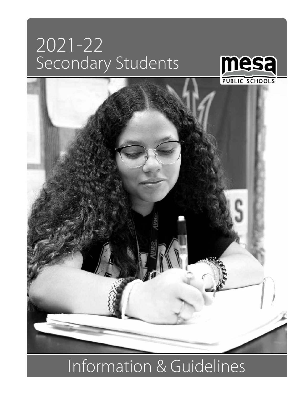# 2021-22 Secondary Students





# Information & Guidelines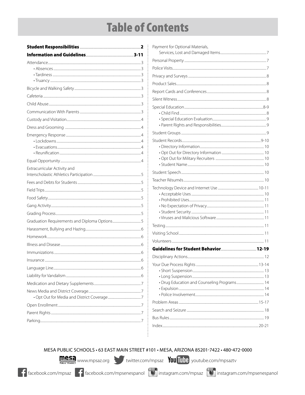# **Table of Contents**

| Extracurricular Activity and                 |  |
|----------------------------------------------|--|
|                                              |  |
|                                              |  |
|                                              |  |
|                                              |  |
|                                              |  |
|                                              |  |
| Graduation Requirements and Diploma Options5 |  |
|                                              |  |
|                                              |  |
|                                              |  |
|                                              |  |
|                                              |  |
|                                              |  |
|                                              |  |
|                                              |  |
|                                              |  |
|                                              |  |
|                                              |  |
|                                              |  |
|                                              |  |
|                                              |  |

| Payment for Optional Materials,             |  |
|---------------------------------------------|--|
|                                             |  |
|                                             |  |
|                                             |  |
|                                             |  |
|                                             |  |
|                                             |  |
|                                             |  |
|                                             |  |
|                                             |  |
|                                             |  |
|                                             |  |
|                                             |  |
|                                             |  |
|                                             |  |
|                                             |  |
|                                             |  |
|                                             |  |
|                                             |  |
|                                             |  |
|                                             |  |
|                                             |  |
|                                             |  |
|                                             |  |
|                                             |  |
|                                             |  |
|                                             |  |
|                                             |  |
|                                             |  |
|                                             |  |
|                                             |  |
| · Drug Education and Counseling Programs 14 |  |
|                                             |  |
|                                             |  |
|                                             |  |
|                                             |  |
|                                             |  |
|                                             |  |
|                                             |  |

#### MESA PUBLIC SCHOOLS · 63 EAST MAIN STREET #101 · MESA, ARIZONA 85201-7422 · 480-472-0000

İ

mesa www.mpsaz.org witter.com/mpsaz You Tube youtube.com/mpsaztv

F facebook.com/mpsaz F facebook.com/mpsenespanol O instagram.com/mpsaz O instagram.com/mpsenespanol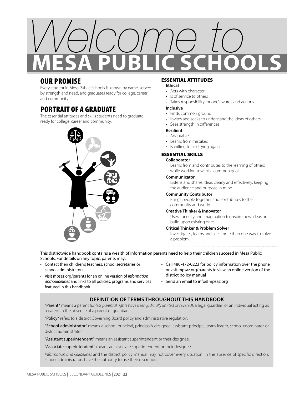

### OUR PROMISE

Every student in Mesa Public Schools is known by name, served by strength and need, and graduates ready for college, career and community.

### PORTRAIT OF A GRADUATE

The essential attitudes and skills students need to graduate ready for college, career and community.



#### ESSENTIAL ATTITUDES

#### **Ethical**

- Acts with character
- Is of service to others
- Takes responsibility for one's words and actions

#### **Inclusive**

- Finds common ground
- Invites and seeks to understand the ideas of others
- Sees strength in differences

#### **Resilient**

#### • Adaptable

- Learns from mistakes
- Is willing to risk trying again

#### ESSENTIAL SKILLS

#### **Collaborator**

Learns from and contributes to the learning of others while working toward a common goal

#### **Communicator**

Listens and shares ideas clearly and effectively, keeping the audience and purpose in mind

#### **Community Contributor**

Brings people together and contributes to the community and world

#### **Creative Thinker & Innovator**

Uses curiosity and imagination to inspire new ideas or build upon existing ones

#### **Critical Thinker & Problem Solver**

Investigates, learns and sees more than one way to solve a problem

This districtwide handbook contains a wealth of information parents need to help their children succeed in Mesa Public Schools. For details on any topic, parents may:

- Contact their children's teachers, school secretaries or school administrators
- Visit mpsaz.org/parents for an online version of *Information and Guidelines* and links to all policies, programs and services featured in this handbook
- Call 480-472-0223 for policy information over the phone, or visit mpsaz.org/parents to view an online version of the district policy manual
- Send an email to info@mpsaz.org

#### **DEFINITION OF TERMS THROUGHOUT THIS HANDBOOK**

"Parent" means a parent *(unless parental rights have been judicially limited or severed)*, a legal guardian or an individual acting as a parent in the absence of a parent or guardian.

"Policy" refers to a district Governing Board policy and administrative regulation.

"School administrator" means a school principal, principal's designee, assistant principal, team leader, school coordinator or district administrator.

"Assistant superintendent" means an assistant superintendent or their designee.

"Associate superintendent" means an associate superintendent or their designee.

*Information and Guidelines* and the district policy manual may not cover every situation. In the absence of specific direction, school administrators have the authority to use their discretion.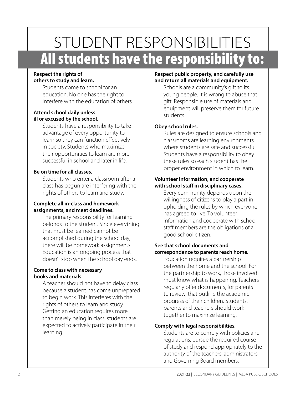# STUDENT RESPONSIBILITIES All students have the responsibility to:

#### **Respect the rights of others to study and learn.**

Students come to school for an education. No one has the right to interfere with the education of others.

#### **Attend school daily unless ill or excused by the school.**

Students have a responsibility to take advantage of every opportunity to learn so they can function effectively in society. Students who maximize their opportunities to learn are more successful in school and later in life.

#### **Be on time for all classes.**

Students who enter a classroom after a class has begun are interfering with the rights of others to learn and study.

#### **Complete all in-class and homework assignments, and meet deadlines.**

The primary responsibility for learning belongs to the student. Since everything that must be learned cannot be accomplished during the school day, there will be homework assignments. Education is an ongoing process that doesn't stop when the school day ends.

#### **Come to class with necessary books and materials.**

A teacher should not have to delay class because a student has come unprepared to begin work. This interferes with the rights of others to learn and study. Getting an education requires more than merely being in class; students are expected to actively participate in their learning.

#### **Respect public property, and carefully use and return all materials and equipment.**

Schools are a community's gift to its young people. It is wrong to abuse that gift. Responsible use of materials and equipment will preserve them for future students.

#### **Obey school rules.**

Rules are designed to ensure schools and classrooms are learning environments where students are safe and successful. Students have a responsibility to obey these rules so each student has the proper environment in which to learn.

#### **Volunteer information, and cooperate with school staff in disciplinary cases.**

Every community depends upon the willingness of citizens to play a part in upholding the rules by which everyone has agreed to live. To volunteer information and cooperate with school staff members are the obligations of a good school citizen.

#### **See that school documents and correspondence to parents reach home.**

Education requires a partnership between the home and the school. For the partnership to work, those involved must know what is happening. Teachers regularly offer documents, for parents to review, that outline the academic progress of their children. Students, parents and teachers should work together to maximize learning.

#### **Comply with legal responsibilities.**

Students are to comply with policies and regulations, pursue the required course of study and respond appropriately to the authority of the teachers, administrators and Governing Board members.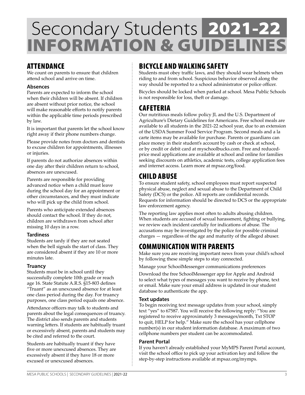## Secondary Students INFORMATION & GUIDELINES 2021-22

### ATTENDANCE

We count on parents to ensure that children attend school and arrive on time.

#### **Absences**

Parents are expected to inform the school when their children will be absent. If children are absent without prior notice, the school will make reasonable efforts to notify parents within the applicable time periods prescribed by law.

It is important that parents let the school know right away if their phone numbers change.

Please provide notes from doctors and dentists to excuse children for appointments, illnesses or injuries.

If parents do not authorize absences within one day after their children return to school, absences are unexcused.

Parents are responsible for providing advanced notice when a child must leave during the school day for an appointment or other circumstances, and they must indicate who will pick up the child from school.

Parents who anticipate extended absences should contact the school. If they do not, children are withdrawn from school after missing 10 days in a row.

#### **Tardiness**

Students are tardy if they are not seated when the bell signals the start of class. They are considered absent if they are 10 or more minutes late.

#### **Truancy**

Students must be in school until they successfully complete 10th grade or reach age 16. State Statute A.R.S. §15-803 defines "Truant" as an unexcused absence for at least one class period during the day. For truancy purposes, one class period equals one absence.

Attendance officers may talk to students and parents about the legal consequences of truancy. The district also sends parents and students warning letters. If students are habitually truant or excessively absent, parents and students may be cited and referred to the court.

Students are habitually truant if they have five or more unexcused absences. They are excessively absent if they have 18 or more excused or unexcused absences.

### BICYCLE AND WALKING SAFETY

Students must obey traffic laws, and they should wear helmets when riding to and from school. Suspicious behavior observed along the way should be reported to a school administrator or police officer.

Bicycles should be locked when parked at school. Mesa Public Schools is not responsible for loss, theft or damage.

### CAFETERIA

Our nutritious meals follow policy JL and the U.S. Department of Agriculture's Dietary Guidelines for Americans. Free school meals are available to all students in the 2021-22 school year, due to an extension of the USDA Summer Food Service Program. Second meals and a la carte items may be available for purchase. Parents or guardians can place money in their student's account by cash or check at school, or by credit or debit card at myschoolbucks.com. Free and reducedprice meal applications are available at school and online for families seeking discounts on athletics, academic tests, college application fees and internet access. Learn more at mpsaz.org/food.

### CHILD ABUSE

To ensure student safety, school employees must report suspected physical abuse, neglect and sexual abuse to the Department of Child Safety (DCS) or the police. All reports are confidential records. Requests for information should be directed to DCS or the appropriate law enforcement agency.

The reporting law applies most often to adults abusing children. When students are accused of sexual harassment, fighting or bullying, we review each incident carefully for indications of abuse. The accusations may be investigated by the police for possible criminal charges — regardless of the age and maturity of the alleged abuser.

### COMMUNICATION WITH PARENTS

Make sure you are receiving important news from your child's school by following these simple steps to stay connected.

Manage your SchoolMessenger communications preferences

Download the free SchoolMessenger app for Apple and Android to select what types of messages you want to receive by phone, text or email. Make sure your email address is updated in our student database to authenticate the app.

#### **Text updates**

To begin receiving text message updates from your school, simply text "yes" to 67587. You will receive the following reply: "You are registered to receive approximately 3 messages/month, Txt STOP to quit, HELP for help." Make sure the school has your cellphone number(s) in our student information database. A maximum of two cellphone numbers per student can be accommodated.

#### **Parent Portal**

If you haven't already established your MyMPS Parent Portal account, visit the school office to pick up your activation key and follow the step-by-step instructions available at mpsaz.org/mymps.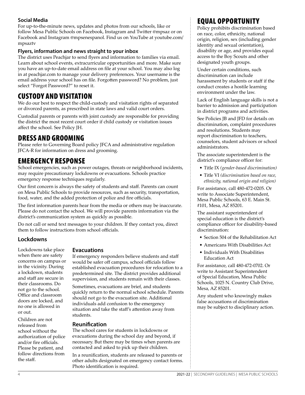#### **Social Media**

For up-to-the-minute news, updates and photos from our schools, like or follow Mesa Public Schools on Facebook, Instagram and Twitter @mpsaz or on Facebook and Instagram @mpsenespanol. Find us on YouTube at youtube.com/ mpsaztv

#### **Flyers, information and news straight to your inbox**

The district uses Peachjar to send flyers and information to families via email. Learn about school events, extracurricular opportunities and more. Make sure you have an up-to-date email address on file at your school. You may also log in at peachjar.com to manage your delivery preferences. Your username is the email address your school has on file. Forgotten password? No problem, just select "Forgot Password?" to reset it.

### CUSTODY AND VISITATION

We do our best to respect the child-custody and visitation rights of separated or divorced parents, as prescribed in state laws and valid court orders.

Custodial parents or parents with joint custody are responsible for providing the district the most recent court order if child custody or visitation issues affect the school. See Policy JH.

### DRESS AND GROOMING

Please refer to Governing Board policy JFCA and administrative regulation JFCA-R for information on dress and grooming.

### EMERGENCY RESPONSE

School emergencies, such as power outages, threats or neighborhood incidents, may require precautionary lockdowns or evacuations. Schools practice emergency response techniques regularly.

Our first concern is always the safety of students and staff. Parents can count on Mesa Public Schools to provide resources, such as security, transportation, food, water, and the added protection of police and fire officials.

The first information parents hear from the media or others may be inaccurate. Please do not contact the school. We will provide parents information via the district's communication system as quickly as possible.

Do not call or send text messages to your children. If they contact you, direct them to follow instructions from school officials.

#### **Lockdowns**

Lockdowns take place when there are safety concerns on campus or in the vicinity. During a lockdown, students and staff are secure in their classrooms. Do not go to the school. Office and classroom doors are locked, and no one is allowed in or out.

Children are not released from school without the authorization of police and/or fire officials. Please be patient, and follow directions from the staff.

#### **Evacuations**

If emergency responders believe students and staff would be safer off campus, school officials follow established evacuation procedures for relocation to a predetermined site. The district provides additional supervision, and students remain with their classes.

Sometimes, evacuations are brief, and students quickly return to the normal school schedule. Parents should not go to the evacuation site. Additional individuals add confusion to the emergency situation and take the staff's attention away from students.

#### **Reunification**

The school cares for students in lockdowns or evacuations during the school day and beyond, if necessary. But there may be times when parents are contacted and asked to pick up their children.

In a reunification, students are released to parents or other adults designated on emergency contact forms. Photo identification is required.

### EQUAL OPPORTUNITY

Policy prohibits discrimination based on race, color, ethnicity, national origin, religion, sex (including gender identity and sexual orientation), disability or age, and provides equal access to the Boy Scouts and other designated youth groups.

Under certain conditions, such discrimination can include harassment by students or staff if the conduct creates a hostile learning environment under the law.

Lack of English language skills is not a barrier to admission and participation in district programs and activities.

See Policies JB and JFD for details on discrimination, complaint procedures and resolutions. Students may report discrimination to teachers, counselors, student advisors or school administrators.

The associate superintendent is the district's compliance officer for:

- Title IX *(gender-based discrimination)*
- Title VI *(discrimination based on race, ethnicity, national origin and religion)*

For assistance, call 480-472-0205. Or write to Associate Superintendent, Mesa Public Schools, 63 E. Main St. #101, Mesa, AZ 85201.

The assistant superintendent of special education is the district's compliance officer for disability-based discrimination:

- Section 504 of the Rehabilitation Act
- Americans With Disabilities Act
- Individuals With Disabilities Education Act

For assistance, call 480-472-0702. Or write to Assistant Superintendent of Special Education, Mesa Public Schools, 1025 N. Country Club Drive, Mesa, AZ 85201.

Any student who knowingly makes false accusations of discrimination may be subject to disciplinary action.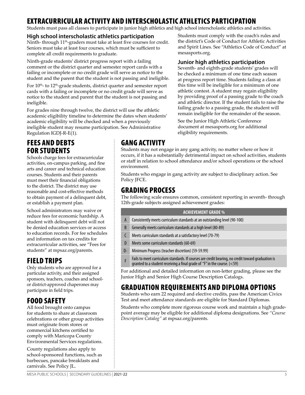### EXTRACURRICULAR ACTIVITY AND INTERSCHOLASTIC ATHLETICS PARTICIPATION

Students must pass all classes to participate in junior high athletics and high school interscholastic athletics and activities.

#### **High school interscholastic athletics participation**

Ninth- through 11<sup>th</sup>-graders must take at least five courses for credit. Seniors must take at least four courses, which must be sufficient to complete all credit requirements to graduate.

Ninth-grade students' district progress report with a failing comment or the district quarter and semester report cards with a failing or incomplete or no credit grade will serve as notice to the student and the parent that the student is not passing and ineligible.

For 10<sup>th</sup>- to 12<sup>th</sup>-grade students, district quarter and semester report cards with a failing or incomplete or no credit grade will serve as notice to the student and parent that the student is not passing and ineligible.

For grades nine through twelve, the district will use the athletic academic eligibility timeline to determine the dates when students' academic eligibility will be checked and when a previously ineligible student may resume participation. See Administrative Regulation IGDJ-R-E(1).

### FEES AND DEBTS FOR STUDENTS

Schools charge fees for extracurricular activities, on-campus parking, and fine arts and career and technical education courses. Students and their parents must meet their financial obligations to the district. The district may use reasonable and cost-effective methods to obtain payment of a delinquent debt, or establish a payment plan.

School administrators may waive or reduce fees for economic hardship. A student with delinquent debt will not be denied education services or access to education records. For fee schedules and information on tax credits for extracurricular activities, see "Fees for students" at mpsaz.org/parents.

### FIELD TRIPS

Only students who are approved for a particular activity, and their assigned sponsors, teachers, coaches and schoolor district-approved chaperones may participate in field trips.

### FOOD SAFETY

All food brought onto campus for students to share at classroom celebrations or other group activities must originate from stores or commercial kitchens certified to comply with Maricopa County Environmental Services regulations.

County regulations also apply to school-sponsored functions, such as barbecues, pancake breakfasts and carnivals. See Policy JL.

### GANG ACTIVITY

Students may not engage in any gang activity, no matter where or how it occurs, if it has a substantially detrimental impact on school activities, students or staff in relation to school attendance and/or school operations or the school environment.

Students who engage in gang activity are subject to disciplinary action. See Policy JFCE.

### GRADING PROCESS

The following scale ensures common, consistent reporting in seventh- through 12th-grade subjects assigned achievement grades:

| <b>ACHIEVEMENT GRADE %</b> |                                                                                                                                                                               |
|----------------------------|-------------------------------------------------------------------------------------------------------------------------------------------------------------------------------|
| A                          | Consistently meets curriculum standards at an outstanding level (90-100)                                                                                                      |
| B                          | Generally meets curriculum standards at a high level (80-89)                                                                                                                  |
|                            | Meets curriculum standards at a satisfactory level (70-79)                                                                                                                    |
| $\mathsf{D}$               | Meets some curriculum standards (60-69)                                                                                                                                       |
| $D-$                       | Minimum Progress (teacher discretion) (59-59.99)                                                                                                                              |
|                            | Fails to meet curriculum standards. If courses are credit bearing, no credit toward graduation is<br>qranted to a student receiving a final grade of "F" in the course. (<59) |

For additional and detailed information on non-letter grading, please see the Junior High and Senior High Course Description Catalogs.

### GRADUATION REQUIREMENTS AND DIPLOMA OPTIONS

Students who earn 22 required and elective credits, pass the American Civics Test and meet attendance standards are eligible for Standard Diplomas.

Students who complete more rigorous course work and maintain a high gradepoint average may be eligible for additional diploma designations. See *"Course Description Catalog"* at mpsaz.org/parents.

Students must comply with the coach's rules and the district's Code of Conduct for Athletic Activities and Spirit Lines. See "Athletics Code of Conduct" at mesasports.org.

#### **Junior high athletics participation**

Seventh- and eighth-grade students' grades will be checked a minimum of one time each season at progress report time. Students failing a class at this time will be ineligible for a minimum of one athletic contest. A student may regain eligibility by providing proof of a passing grade to the coach and athletic director. If the student fails to raise the failing grade to a passing grade, the student will remain ineligible for the remainder of the season.

See the Junior High Athletic Conference document at mesasports.org for additional eligibility requirements.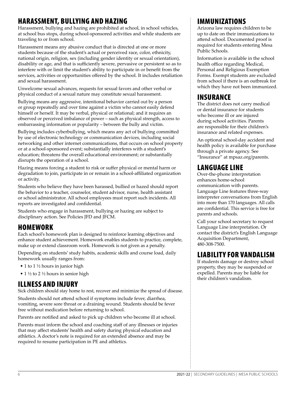### HARASSMENT, BULLYING AND HAZING

Harassment, bullying and hazing are prohibited at school, in school vehicles, at school bus stops, during school-sponsored activities and while students are traveling to or from school.

Harassment means any abusive conduct that is directed at one or more students because of the student's actual or perceived race, color, ethnicity, national origin, religion, sex (including gender identity or sexual orientation), disability or age, and that is sufficiently severe, pervasive or persistent so as to interfere with or limit the student's ability to participate in or benefit from the services, activities or opportunities offered by the school. It includes retaliation and sexual harassment.

Unwelcome sexual advances, requests for sexual favors and other verbal or physical conduct of a sexual nature may constitute sexual harassment.

Bullying means any aggressive, intentional behavior carried out by a person or group repeatedly and over time against a victim who cannot easily defend himself or herself. It may be verbal, physical or relational; and it requires an observed or perceived imbalance of power – such as physical strength, access to embarrassing information or popularity – between the bully and victim.

Bullying includes cyberbullying, which means any act of bullying committed by use of electronic technology or communication devices, including social networking and other internet communications, that occurs on school property or at a school-sponsored event; substantially interferes with a student's education; threatens the overall educational environment; or substantially disrupts the operation of a school.

Hazing means forcing a student to risk or suffer physical or mental harm or degradation to join, participate in or remain in a school-affiliated organization or activity.

Students who believe they have been harassed, bullied or hazed should report the behavior to a teacher, counselor, student advisor, nurse, health assistant or school administrator. All school employees must report such incidents. All reports are investigated and confidential.

Students who engage in harassment, bullying or hazing are subject to disciplinary action. See Policies JFD and JFCM.

### HOMEWORK

Each school's homework plan is designed to reinforce learning objectives and enhance student achievement. Homework enables students to practice, complete, make up or extend classroom work. Homework is not given as a penalty.

Depending on students' study habits, academic skills and course load, daily homework usually ranges from:

- 1 to 1 ½ hours in junior high
- 1 ½ to 2 ½ hours in senior high

### ILLNESS AND INJURY

Sick children should stay home to rest, recover and minimize the spread of disease.

Students should not attend school if symptoms include fever, diarrhea, vomiting, severe sore throat or a draining wound. Students should be fever free without medication before returning to school.

Parents are notified and asked to pick up children who become ill at school.

Parents must inform the school and coaching staff of any illnesses or injuries that may affect students' health and safety during physical education and athletics. A doctor's note is required for an extended absence and may be required to resume participation in PE and athletics.

### IMMUNIZATIONS

Arizona law requires children to be up to date on their immunizations to attend school. Documented proof is required for students entering Mesa Public Schools.

Information is available in the school health office regarding Medical, Personal and Religious Exemption Forms. Exempt students are excluded from school if there is an outbreak for which they have not been immunized.

### INSURANCE

The district does not carry medical or dental insurance for students who become ill or are injured during school activities. Parents are responsible for their children's insurance and related expenses.

An optional school-day accident and health policy is available for purchase through a private agency. See "Insurance" at mpsaz.org/parents.

### LANGUAGE LINE

Over-the-phone interpretation enhances home-school communication with parents. Language Line features three-way interpreter conversations from English into more than 170 languages. All calls are confidential. This service is free for parents and schools.

Call your school secretary to request Language Line interpretation. Or contact the district's English Language Acquisition Department, 480-308-7500.

### LIABILITY FOR VANDALISM

If students damage or destroy school property, they may be suspended or expelled. Parents may be liable for their children's vandalism.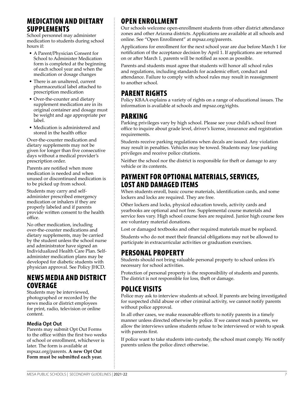### MEDICATION AND DIETARY SUPPLEMENTS

School personnel may administer medication to students during school hours if:

- A Parent/Physician Consent for School to Administer Medication form is completed at the beginning of each school year and when the medication or dosage changes
- There is an unaltered, current pharmaceutical label attached to prescription medication
- Over-the-counter and dietary supplement medication are in its original container and dosage must be weight and age appropriate per label.
- Medication is administered and stored in the health office

Over-the-counter medication and dietary supplements may not be given for longer than five consecutive days without a medical provider's prescription order.

Parents are notified when more medication is needed and when unused or discontinued medication is to be picked up from school.

Students may carry and selfadminister prescribed emergency medication or inhalers if they are properly labeled and if parents provide written consent to the health office.

No other medication, including over-the-counter medications and dietary supplements, may be carried by the student unless the school nurse and administrator have signed an Individualized Health Care Plan. Selfadminister medication plans may be developed for diabetic students with physician approval. See Policy JHCD.

### NEWS MEDIA AND DISTRICT COVERAGE

Students may be interviewed, photographed or recorded by the news media or district employees for print, radio, television or online content.

#### **Media Opt Out**

Parents may submit Opt Out Forms to the office within the first two weeks of school or enrollment, whichever is later. The form is available at mpsaz.org/parents. **A new Opt Out Form must be submitted each year.**

### OPEN ENROLLMENT

Our schools welcome open-enrollment students from other district attendance zones and other Arizona districts. Applications are available at all schools and online. See "Open Enrollment" at mpsaz.org/parents.

Applications for enrollment for the next school year are due before March 1 for notification of the acceptance decision by April 1. If applications are returned on or after March 1, parents will be notified as soon as possible.

Parents and students must agree that students will honor all school rules and regulations, including standards for academic effort, conduct and attendance. Failure to comply with school rules may result in reassignment to another school.

### PARENT RIGHTS

Policy KBAA explains a variety of rights on a range of educational issues. The information is available at schools and mpsaz.org/rights.

### PARKING

Parking privileges vary by high school. Please see your child's school front office to inquire about grade level, driver's license, insurance and registration requirements.

Students receive parking regulations when decals are issued. Any violation may result in penalties. Vehicles may be towed. Students may lose parking privileges and receive police citations.

Neither the school nor the district is responsible for theft or damage to any vehicle or its contents.

### PAYMENT FOR OPTIONAL MATERIALS, SERVICES, LOST AND DAMAGED ITEMS

When students enroll, basic course materials, identification cards, and some lockers and locks are required. They are free.

Other lockers and locks, physical education towels, activity cards and yearbooks are optional and not free. Supplemental course materials and service fees vary. High school course fees are required. Junior high course fees are voluntary material donations.

Lost or damaged textbooks and other required materials must be replaced.

Students who do not meet their financial obligations may not be allowed to participate in extracurricular activities or graduation exercises.

### PERSONAL PROPERTY

Students should not bring valuable personal property to school unless it's necessary for school activities.

Protection of personal property is the responsibility of students and parents. The district is not responsible for loss, theft or damage.

### POLICE VISITS

Police may ask to interview students at school. If parents are being investigated for suspected child abuse or other criminal activity, we cannot notify parents without police approval.

In all other cases, we make reasonable efforts to notify parents in a timely manner unless directed otherwise by police. If we cannot reach parents, we allow the interviews unless students refuse to be interviewed or wish to speak with parents first.

If police want to take students into custody, the school must comply. We notify parents unless the police direct otherwise.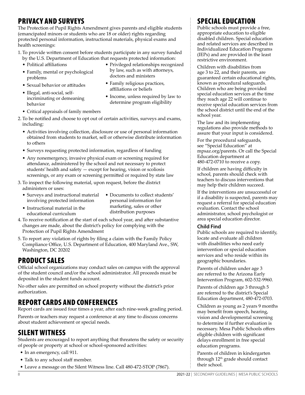### PRIVACY AND SURVEYS

The Protection of Pupil Rights Amendment gives parents and eligible students (emancipated minors or students who are 18 or older) rights regarding protected personal information, instructional materials, physical exams and health screenings:

1. To provide written consent before students participate in any survey funded by the U.S. Department of Education that requests protected information:

- Political affiliations
- Family, mental or psychological problems
- Privileged relationships recognized by law, such as with attorneys, doctors and ministers
- Sexual behavior or attitudes
- Illegal, anti-social, selfincriminating or demeaning behavior
- Family religious practices, affiliations or beliefs
- Income, unless required by law to determine program eligibility
- Critical appraisals of family members
- 2. To be notified and choose to opt out of certain activities, surveys and exams, including:
	- Activities involving collection, disclosure or use of personal information obtained from students to market, sell or otherwise distribute information to others
	- Surveys requesting protected information, regardless of funding
	- Any nonemergency, invasive physical exam or screening required for attendance, administered by the school and not necessary to protect students' health and safety — except for hearing, vision or scoliosis screenings, or any exam or screening permitted or required by state law
- 3. To inspect the following material, upon request, before the district administers or uses:
	- Surveys and instructional material involving protected information

• Instructional material in the educational curriculum

- Documents to collect students' personal information for marketing, sales or other distribution purposes
- 4. To receive notification at the start of each school year, and after substantive changes are made, about the district's policy for complying with the Protection of Pupil Rights Amendment
- 5. To report any violation of rights by filing a claim with the Family Policy Compliance Office, U.S. Department of Education, 400 Maryland Ave., SW, Washington, DC 20202

### PRODUCT SALES

Official school organizations may conduct sales on campus with the approval of the student council and/or the school administrator. All proceeds must be deposited in the student funds account.

No other sales are permitted on school property without the district's prior authorization.

### REPORT CARDS AND CONFERENCES

Report cards are issued four times a year, after each nine-week grading period.

Parents or teachers may request a conference at any time to discuss concerns about student achievement or special needs.

### SILENT WITNESS

Students are encouraged to report anything that threatens the safety or security of people or property at school or school-sponsored activities:

- In an emergency, call 911.
- Talk to any school staff member.
- Leave a message on the Silent Witness line. Call 480-472-STOP (7867).

### SPECIAL EDUCATION

Public schools must provide a free, appropriate education to eligible disabled children. Special education and related services are described in Individualized Education Programs (IEPs) and are provided in the least restrictive environment.

Children with disabilities from age 3 to 22, and their parents, are guaranteed certain educational rights, known as procedural safeguards. Children who are being provided special education services at the time they reach age 22 will continue to receive special education services from the school district until the end of the school year.

The law and its implementing regulations also provide methods to assure that your input is considered.

For the procedural safeguards, see "Special Education" at mpsaz.org/parents. Or call the Special Education department at 480-472-0710 to receive a copy.

If children are having difficulty in school, parents should check with teachers to discuss interventions that may help their children succeed.

If the interventions are unsuccessful or if a disability is suspected, parents may request a referral for special education evaluation. Contact the school administrator, school psychologist or area special education director.

#### **Child Find**

Public schools are required to identify, locate and evaluate all children with disabilities who need early intervention or special education services and who reside within its geographic boundaries.

Parents of children under age 3 are referred to the Arizona Early Intervention Program, 602-532-9960.

Parents of children age 3 through 5 are referred to the district's Special Education department, 480-472-0703.

Children as young as 2 years 9 months may benefit from speech, hearing, vision and developmental screening to determine if further evaluation is necessary. Mesa Public Schools offers eligible children with significant delays enrollment in free special education programs.

Parents of children in kindergarten through 12<sup>th</sup> grade should contact their school.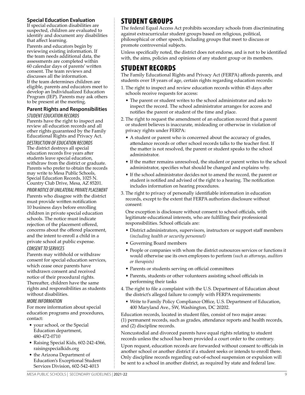#### **Special Education Evaluation**

If special education disabilities are suspected, children are evaluated to identify and document any disabilities that affect learning.

Parents and educators begin by reviewing existing information. If the team needs additional data, the assessments are completed within 60 calendar days of parents' written consent. The team reviews and discusses all the information.

If the team determines children are eligible, parents and educators meet to develop an Individualized Education Program (IEP). Parents may ask others to be present at the meeting.

#### **Parent Rights and Responsibilities**

*STUDENT EDUCATION RECORDS* Parents have the right to inspect and review all education records and all other rights guaranteed by the Family Educational Rights and Privacy Act.

*DESTRUCTION OF EDUCATION RECORDS* The district destroys all special education records five years after students leave special education, withdraw from the district or graduate. Parents who prefer to obtain the records may write to Mesa Public Schools, Special Education Records, 1025 N. Country Club Drive, Mesa, AZ 85201.

*PRIOR NOTICE OF UNILATERAL PRIVATE PLACEMENT*  Parents who disagree with the district must provide written notification 10 business days before enrolling children in private special education schools. The notice must indicate rejection of the placement offered, concerns about the offered placement, and the intent to enroll a child in a private school at public expense.

#### *CONSENT TO SERVICES*

Parents may withhold or withdraw consent for special education services, which cease once parents have withdrawn consent and received notice of their procedural rights. Thereafter, children have the same rights and responsibilities as students without disabilities.

#### *MORE INFORMATION*

For more information about special education programs and procedures, contact:

- your school, or the Special Education department, 480-472-0710
- Raising Special Kids, 602-242-4366, raisingspecialkids.org
- the Arizona Department of Education's Exceptional Student Services Division, 602-542-4013

### STUDENT GROUPS

The federal Equal Access Act prohibits secondary schools from discriminating against extracurricular student groups based on religious, political, philosophical or other speech, including groups that meet to discuss or promote controversial subjects.

Unless specifically noted, the district does not endorse, and is not to be identified with, the aims, policies and opinions of any student group or its members.

### STUDENT RECORDS

The Family Educational Rights and Privacy Act (FERPA) affords parents, and students over 18 years of age, certain rights regarding education records:

- 1. The right to inspect and review education records within 45 days after schools receive requests for access:
	- The parent or student writes to the school administrator and asks to inspect the record. The school administrator arranges for access and notifies the parent or student of the time and place.
- 2. The right to request the amendment of an education record that a parent or student believes is inaccurate, misleading or otherwise in violation of privacy rights under FERPA:
	- A student or parent who is concerned about the accuracy of grades, attendance records or other school records talks to the teacher first. If the matter is not resolved, the parent or student speaks to the school administrator.
	- If the matter remains unresolved, the student or parent writes to the school administrator, specifies what should be changed and explains why.
	- If the school administrator decides not to amend the record, the parent or student is notified and advised of the right to a hearing. The notification includes information on hearing procedures.
- 3. The right to privacy of personally identifiable information in education records, except to the extent that FERPA authorizes disclosure without consent:

One exception is disclosure without consent to school officials, with legitimate educational interests, who are fulfilling their professional responsibilities. School officials are:

- District administrators, supervisors, instructors or support staff members *(including health or security personnel)*
- Governing Board members
- People or companies with whom the district outsources services or functions it would otherwise use its own employees to perform *(such as attorneys, auditors or therapists)*
- Parents or students serving on official committees
- Parents, students or other volunteers assisting school officials in performing their tasks
- 4. The right to file a complaint with the U.S. Department of Education about the district's alleged failure to comply with FERPA requirements:
	- Write to Family Policy Compliance Office, U.S. Department of Education, 400 Maryland Ave., SW, Washington, DC 20202.

Education records, located in student files, consist of two major areas: (1) permanent records, such as grades, attendance reports and health records, and (2) discipline records.

Noncustodial and divorced parents have equal rights relating to student records unless the school has been provided a court order to the contrary.

Upon request, education records are forwarded without consent to officials in another school or another district if a student seeks or intends to enroll there. Only discipline records regarding out-of-school suspension or expulsion will be sent to a school in another district, as required by state and federal law.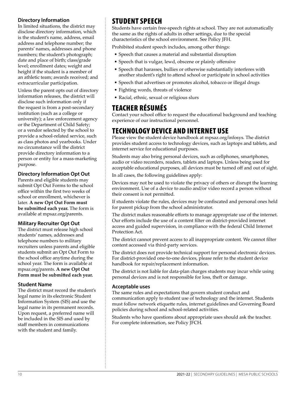#### **Directory Information**

In limited situations, the district may disclose directory information, which is the student's name, address, email address and telephone number; the parents' names, addresses and phone numbers; the student's photograph; date and place of birth; class/grade level; enrollment dates; weight and height if the student is a member of an athletic team; awards received; and extracurricular participation.

Unless the parent opts out of directory information releases, the district will disclose such information only if the request is from a post-secondary institution (such as a college or university); a law enforcement agency or the Department of Child Safety; or a vendor selected by the school to provide a school-related service, such as class photos and yearbooks. Under no circumstance will the district provide directory information to a person or entity for a mass-marketing purpose.

#### **Directory Information Opt Out**

Parents and eligible students may submit Opt Out Forms to the school office within the first two weeks of school or enrollment, whichever is later. **A new Opt Out Form must be submitted each year.** The form is available at mpsaz.org/parents.

#### **Military Recruiter Opt Out**

The district must release high school students' names, addresses and telephone numbers to military recruiters unless parents and eligible students submit an Opt Out Form to the school office anytime during the school year. The form is available at mpsaz.org/parents. **A new Opt Out Form must be submitted each year.**

#### **Student Name**

The district must record the student's legal name in its electronic Student Information System (SIS) and use the legal name in its permanent records. Upon request, a preferred name will be included in the SIS and used by staff members in communications with the student and family.

### STUDENT SPEECH

Students have certain free-speech rights at school. They are not automatically the same as the rights of adults in other settings, due to the special characteristics of the school environment. See Policy JFH.

Prohibited student speech includes, among other things:

- Speech that causes a material and substantial disruption
- Speech that is vulgar, lewd, obscene or plainly offensive
- Speech that harasses, bullies or otherwise substantially interferes with another student's right to attend school or participate in school activities
- Speech that advertises or promotes alcohol, tobacco or illegal drugs
- Fighting words, threats of violence
- Racial, ethnic, sexual or religious slurs

### TEACHER RÉSUMÉS

Contact your school office to request the educational background and teaching experience of our instructional personnel.

### TECHNOLOGY DEVICE AND INTERNET USE

Please view the student device handbook at mpsaz.org/infosys. The district provides student access to technology devices, such as laptops and tablets, and internet service for educational purposes.

Students may also bring personal devices, such as cellphones, smartphones, audio or video recorders, readers, tablets and laptops. Unless being used for acceptable educational purposes, all devices must be turned off and out of sight.

In all cases, the following guidelines apply:

Devices may not be used to violate the privacy of others or disrupt the learning environment. Use of a device to audio and/or video record a person without their consent is not permitted.

If students violate the rules, devices may be confiscated and personal ones held for parent pickup from the school administrator.

The district makes reasonable efforts to manage appropriate use of the internet. Our efforts include the use of a content filter on district-provided internet access and guided supervision, in compliance with the federal Child Internet Protection Act.

The district cannot prevent access to all inappropriate content. We cannot filter content accessed via third-party services.

The district does not provide technical support for personal electronic devices. For district-provided one-to-one devices, please refer to the student device handbook for repair/replacement information.

The district is not liable for data-plan charges students may incur while using personal devices and is not responsible for loss, theft or damage.

#### **Acceptable uses**

The same rules and expectations that govern student conduct and communication apply to student use of technology and the internet. Students must follow network etiquette rules, internet guidelines and Governing Board policies during school and school-related activities.

Students who have questions about appropriate uses should ask the teacher. For complete information, see Policy JFCH.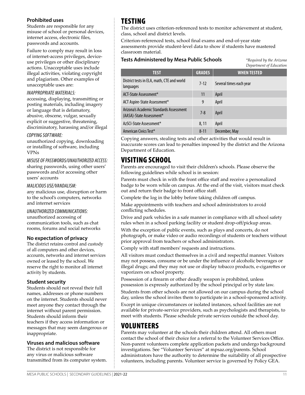#### **Prohibited uses**

Students are responsible for any misuse of school or personal devices, internet access, electronic files, passwords and accounts.

Failure to comply may result in loss of internet-access privileges, deviceuse privileges or other disciplinary actions. Unacceptable uses include illegal activities, violating copyright and plagiarism. Other examples of unacceptable uses are:

#### *INAPPROPRIATE MATERIALS:*

accessing, displaying, transmitting or posting materials, including imagery or language that is defamatory, abusive, obscene, vulgar, sexually explicit or suggestive, threatening, discriminatory, harassing and/or illegal

#### *COPYING SOFTWARE:*

unauthorized copying, downloading or installing of software, including VPNs

*MISUSE OF PASSWORDS/UNAUTHORIZED ACCESS:*  sharing passwords, using other users' passwords and/or accessing other users' accounts

#### *MALICIOUS USE/VANDALISM:*

any malicious use, disruption or harm to the school's computers, networks and internet services

#### *UNAUTHORIZED COMMUNICATIONS:*

unauthorized accessing of communication tools, such as chat rooms, forums and social networks

#### **No expectation of privacy**

The district retains control and custody of all computers and other devices, accounts, networks and internet services owned or leased by the school. We reserve the right to monitor all internet activity by students.

#### **Student security**

Students should not reveal their full names, addresses or phone numbers on the internet. Students should never meet anyone they contact through the internet without parent permission. Students should inform their teachers if they access information or messages that may seem dangerous or inappropriate.

#### **Viruses and malicious software**

The district is not responsible for any virus or malicious software transmitted from its computer system.

### TESTING

The district uses criterion-referenced tests to monitor achievement at student, class, school and district levels.

Criterion-referenced tests, school final exams and end-of-year state assessments provide student-level data to show if students have mastered classroom material.

#### **Tests Administered by Mesa Public Schools** *\*Required by the Arizona*

*Department of Education*

| <b>TEST</b>                                                         | <b>GRADES</b> | <b>WHEN TESTED</b>      |
|---------------------------------------------------------------------|---------------|-------------------------|
| District tests in ELA, math, CTE and world<br>languages             | $7-12$        | Several times each year |
| ACT-State Assessment*                                               | 11            | April                   |
| ACT Aspire-State Assessment*                                        | 9             | April                   |
| Arizona's Academic Standards Assessment<br>(AASA)-State Assessment* | $7 - 8$       | April                   |
| AzSCI-State Assessment*                                             | 8, 11         | April                   |
| American Civics Test*                                               | $8 - 11$      | December, May           |

Copying answers, stealing tests and other activities that would result in inaccurate scores can lead to penalties imposed by the district and the Arizona Department of Education.

### VISITING SCHOOL

Parents are encouraged to visit their children's schools. Please observe the following guidelines while school is in session:

Parents must check in with the front office staff and receive a personalized badge to be worn while on campus. At the end of the visit, visitors must check out and return their badge to front office staff.

Complete the log in the lobby before taking children off campus.

Make appointments with teachers and school administrators to avoid conflicting schedules.

Drive and park vehicles in a safe manner in compliance with all school safety rules when in a school parking facility or student drop-off/pickup areas.

With the exception of public events, such as plays and concerts, do not photograph, or make video or audio recordings of students or teachers without prior approval from teachers or school administrators.

Comply with staff members' requests and instructions.

All visitors must conduct themselves in a civil and respectful manner. Visitors may not possess, consume or be under the influence of alcoholic beverages or illegal drugs; and they may not use or display tobacco products, e-cigarettes or vaporizers on school property.

Possession of a firearm or other deadly weapon is prohibited, unless possession is expressly authorized by the school principal or by state law.

Students from other schools are not allowed on our campus during the school day, unless the school invites them to participate in a school-sponsored activity. Except in unique circumstances or isolated instances, school facilities are not available for private-service providers, such as psychologists and therapists, to meet with students. Please schedule private services outside the school day.

### VOLUNTEERS

Parents may volunteer at the schools their children attend. All others must contact the school of their choice for a referral to the Volunteer Services Office. Non-parent volunteers complete application packets and undergo background investigations. See "Volunteer Services" at mpsaz.org/parents. School administrators have the authority to determine the suitability of all prospective volunteers, including parents. Volunteer service is governed by Policy GEA.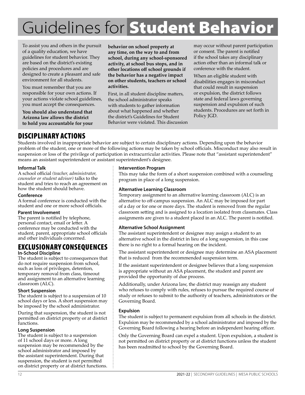# Guidelines for Student Behavior

To assist you and others in the pursuit of a quality education, we have guidelines for student behavior. They are based on the district's existing policies and procedures and are designed to create a pleasant and safe environment for all students.

You must remember that you are responsible for your own actions. If your actions violate school guidelines, you must accept the consequences.

**You should also understand that Arizona law allows the district to hold you accountable for your**  **behavior on school property at any time, on the way to and from school, during any school-sponsored activity, at school bus stops, and in other locations off school grounds if the behavior has a negative impact on other students, teachers or school activities.**

First, in all student discipline matters, the school administrator speaks with students to gather information about what happened and whether the district's Guidelines for Student Behavior were violated. This discussion

may occur without parent participation or consent. The parent is notified if the school takes any disciplinary action other than an informal talk or conference with the student.

When an eligible student with disabilities engages in misconduct that could result in suspension or expulsion, the district follows state and federal laws governing suspension and expulsion of such students. Procedures are set forth in Policy JGD.

### DISCIPLINARY ACTIONS

Students involved in inappropriate behavior are subject to certain disciplinary actions. Depending upon the behavior problem of the student, one or more of the following actions may be taken by school officials. Misconduct may also result in suspension or loss of the privilege of participation in extracurricular activities. Please note that "assistant superintendent" means an assistant superintendent or assistant superintendent's designee.

#### **Informal Talk**

A school official *(teacher, administrator, counselor or student advisor)* talks to the student and tries to reach an agreement on how the student should behave.

#### **Conference**

A formal conference is conducted with the student and one or more school officials.

#### **Parent Involvement**

The parent is notified by telephone, personal contact, email or letter. A conference may be conducted with the student, parent, appropriate school officials and other individuals concerned.

#### EXCLUSIONARY CONSEQUENCES **In-School Discipline**

The student is subject to consequences that do not require suspension from school, such as loss of privileges, detention, temporary removal from class, timeout and assignment to an alternative learning classroom (ALC).

#### **Short Suspension**

The student is subject to a suspension of 10 school days or less. A short suspension may be imposed by the school administrator.

During that suspension, the student is not permitted on district property or at district functions.

#### **Long Suspension**

The student is subject to a suspension of 11 school days or more. A long suspension may be recommended by the school administrator and imposed by the assistant superintendent. During that suspension, the student is not permitted on district property or at district functions.

#### **Intervention Program**

This may take the form of a short suspension combined with a counseling program in place of a long suspension.

#### **Alternative Learning Classroom**

Temporary assignment to an alternative learning classroom (ALC) is an alternative to off-campus suspension. An ALC may be imposed for part of a day or for one or more days. The student is removed from the regular classroom setting and is assigned to a location isolated from classmates. Class assignments are given to a student placed in an ALC. The parent is notified.

#### **Alternative School Assignment**

The assistant superintendent or designee may assign a student to an alternative school in the district in lieu of a long suspension, in this case there is no right to a formal hearing on the incident.

The assistant superintendent or designee may determine an ASA placement that is reduced from the recommended suspension term.

If the assistant superintendent or designee believes that a long suspension is appropriate without an ASA placement, the student and parent are provided the opportunity of due process.

Additionally, under Arizona law, the district may reassign any student who refuses to comply with rules, refuses to pursue the required course of study or refuses to submit to the authority of teachers, administrators or the Governing Board.

#### **Expulsion**

The student is subject to permanent expulsion from all schools in the district. Expulsion may be recommended by a school administrator and imposed by the Governing Board following a hearing before an independent hearing officer.

Only the Governing Board can expel a student. Upon expulsion, a student is not permitted on district property or at district functions unless the student has been readmitted to school by the Governing Board.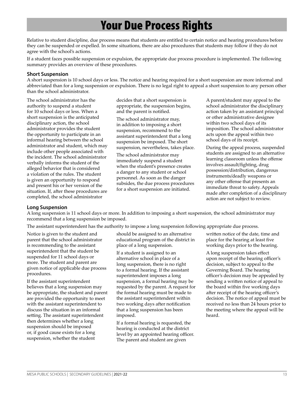# Your Due Process Rights

Relative to student discipline, due process means that students are entitled to certain notice and hearing procedures before they can be suspended or expelled. In some situations, there are also procedures that students may follow if they do not agree with the school's actions.

If a student faces possible suspension or expulsion, the appropriate due process procedure is implemented. The following summary provides an overview of these procedures.

#### **Short Suspension**

A short suspension is 10 school days or less. The notice and hearing required for a short suspension are more informal and abbreviated than for a long suspension or expulsion. There is no legal right to appeal a short suspension to any person other than the school administrator.

The school administrator has the authority to suspend a student for 10 school days or less. When a short suspension is the anticipated disciplinary action, the school administrator provides the student the opportunity to participate in an informal hearing between the school administrator and student, which may include other people associated with the incident. The school administrator verbally informs the student of the alleged behavior that is considered a violation of the rules. The student is given an opportunity to respond and present his or her version of the situation. If, after these procedures are completed, the school administrator

decides that a short suspension is appropriate, the suspension begins, and the parent is notified.

The school administrator may, in addition to imposing a short suspension, recommend to the assistant superintendent that a long suspension be imposed. The short suspension, nevertheless, takes place.

The school administrator may immediately suspend a student when the student's presence creates a danger to any student or school personnel. As soon as the danger subsides, the due process procedures for a short suspension are initiated.

A parent/student may appeal to the school administrator the disciplinary action taken by an assistant principal or other administrative designee within two school days of its imposition. The school administrator acts upon the appeal within two school days of its receipt.

During the appeal process, suspended students are assigned to an alternative learning classroom unless the offense involves assault/fighting, drug possession/distribution, dangerous instruments/deadly weapons or any other offense that presents an immediate threat to safety. Appeals made after completion of a disciplinary action are not subject to review.

#### **Long Suspension**

A long suspension is 11 school days or more. In addition to imposing a short suspension, the school administrator may recommend that a long suspension be imposed.

The assistant superintendent has the authority to impose a long suspension following appropriate due process.

Notice is given to the student and parent that the school administrator is recommending to the assistant superintendent that the student be suspended for 11 school days or more. The student and parent are given notice of applicable due process procedures.

If the assistant superintendent believes that a long suspension may be appropriate, the student and parent are provided the opportunity to meet with the assistant superintendent to discuss the situation in an informal setting. The assistant superintendent then determines whether a long suspension should be imposed or, if good cause exists for a long suspension, whether the student

should be assigned to an alternative educational program of the district in place of a long suspension.

If a student is assigned to an alternative school in place of a long suspension, there is no right to a formal hearing. If the assistant superintendent imposes a long suspension, a formal hearing may be requested by the parent. A request for the formal hearing must be made to the assistant superintendent within two working days after notification that a long suspension has been imposed.

If a formal hearing is requested, the hearing is conducted at the district level by an appointed hearing officer. The parent and student are given

written notice of the date, time and place for the hearing at least five working days prior to the hearing.

A long suspension takes effect upon receipt of the hearing officer's decision, subject to appeal to the Governing Board. The hearing officer's decision may be appealed by sending a written notice of appeal to the board within five working days after receipt of the hearing officer's decision. The notice of appeal must be received no less than 24 hours prior to the meeting where the appeal will be heard.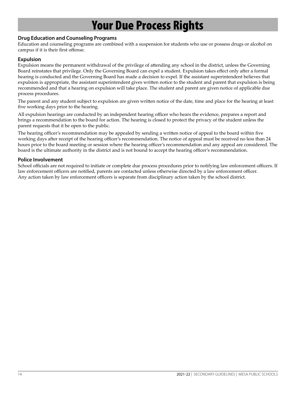# Your Due Process Rights

#### **Drug Education and Counseling Programs**

Education and counseling programs are combined with a suspension for students who use or possess drugs or alcohol on campus if it is their first offense.

#### **Expulsion**

Expulsion means the permanent withdrawal of the privilege of attending any school in the district, unless the Governing Board reinstates that privilege. Only the Governing Board can expel a student. Expulsion takes effect only after a formal hearing is conducted and the Governing Board has made a decision to expel. If the assistant superintendent believes that expulsion is appropriate, the assistant superintendent gives written notice to the student and parent that expulsion is being recommended and that a hearing on expulsion will take place. The student and parent are given notice of applicable due process procedures.

The parent and any student subject to expulsion are given written notice of the date, time and place for the hearing at least five working days prior to the hearing.

All expulsion hearings are conducted by an independent hearing officer who hears the evidence, prepares a report and brings a recommendation to the board for action. The hearing is closed to protect the privacy of the student unless the parent requests that it be open to the public.

The hearing officer's recommendation may be appealed by sending a written notice of appeal to the board within five working days after receipt of the hearing officer's recommendation. The notice of appeal must be received no less than 24 hours prior to the board meeting or session where the hearing officer's recommendation and any appeal are considered. The board is the ultimate authority in the district and is not bound to accept the hearing officer's recommendation.

#### **Police Involvement**

School officials are not required to initiate or complete due process procedures prior to notifying law enforcement officers. If law enforcement officers are notified, parents are contacted unless otherwise directed by a law enforcement officer. Any action taken by law enforcement officers is separate from disciplinary action taken by the school district.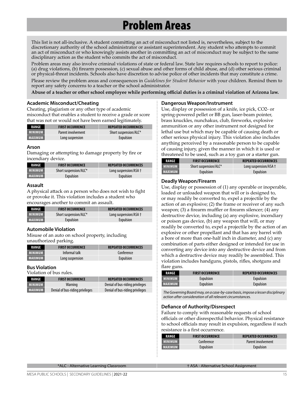# Problem Areas

This list is not all-inclusive. A student committing an act of misconduct not listed is, nevertheless, subject to the discretionary authority of the school administrator or assistant superintendent. Any student who attempts to commit an act of misconduct or who knowingly assists another in committing an act of misconduct may be subject to the same disciplinary action as the student who commits the act of misconduct.

Problem areas may also involve criminal violations of state or federal law. State law requires schools to report to police: (a) drug violations, (b) firearm possession, (c) sexual abuse and other forms of child abuse, and (d) other serious criminal or physical-threat incidents. Schools also have discretion to advise police of other incidents that may constitute a crime.

Please review the problem areas and consequences in *Guidelines for Student Behavior* with your children. Remind them to report any safety concerns to a teacher or the school administrator.

**Abuse of a teacher or other school employee while performing official duties is a criminal violation of Arizona law.**

#### **Academic Misconduct/Cheating**

Cheating, plagiarism or any other type of academic misconduct that enables a student to receive a grade or score that was not or would not have been earned legitimately.

| RANGE          | <b>FIRST OCCURRENCE</b> | <b>REPEATED OCCURRENCES</b> |
|----------------|-------------------------|-----------------------------|
| <b>MINIMUM</b> | Parent involvement      | Short suspension/ALC*       |
| <b>MAXIMUM</b> | Long suspension         | Expulsion                   |

#### **Arson**

Damaging or attempting to damage property by fire or incendiary device.

| RANGE          | <b>FIRST OCCURRENCE</b> | <b>REPEATED OCCURRENCES</b> |
|----------------|-------------------------|-----------------------------|
| <b>MINIMUM</b> | Short suspension/ALC*   | Long suspension/ASA +       |
| <b>MAXIMUM</b> | Expulsion               | Expulsion                   |

#### **Assault**

A physical attack on a person who does not wish to fight or provoke it. This violation includes a student who encourages another to commit an assault.

| RANGE          | <b>FIRST OCCURRENCE</b> | <b>REPEATED OCCURRENCES</b> |
|----------------|-------------------------|-----------------------------|
| <b>MINIMUM</b> | Short suspension/ALC*   | Long suspension/ASA +       |
| <b>MAXIMUM</b> | Expulsion               | Expulsion                   |

#### **Automobile Violation**

Misuse of an auto on school property, including unauthorized parking.

| <b>RANGE</b>   | <b>FIRST OCCURRENCE</b> | <b>REPEATED OCCURRENCES</b> |
|----------------|-------------------------|-----------------------------|
| <b>MINIMUM</b> | Informal talk           | Conference                  |
| <b>MAXIMUM</b> | Long suspension         | Expulsion                   |

#### **Bus Violation**

Violation of bus rules.

| <b>RANGE</b>   | <b>FIRST OCCURRENCE</b>         | <b>REPEATED OCCURRENCES</b>     |
|----------------|---------------------------------|---------------------------------|
| <b>MINIMUM</b> | Warning                         | Denial of bus-riding privileges |
| <b>MAXIMUM</b> | Denial of bus-riding privileges | Denial of bus-riding privileges |

#### **Dangerous Weapon/Instrument**

Use, display or possession of a knife, ice pick, CO2- or spring-powered pellet or BB gun, laser-beam pointer, brass knuckles, nunchakus, club, fireworks, explosive ammunition or any other instrument not designed for lethal use but which may be capable of causing death or other serious physical injury. This violation also includes anything perceived by a reasonable person to be capable of causing injury, given the manner in which it is used or threatened to be used, such as a toy gun or a starter gun.

| RANGE          | <b>FIRST OCCURRENCE</b> | <b>REPEATED OCCURRENCES</b> |
|----------------|-------------------------|-----------------------------|
| <b>MINIMUM</b> | Short suspension/ALC*   | Long suspension/ASA +       |
| <b>MAXIMUM</b> | Expulsion               | Expulsion                   |

#### **Deadly Weapon/Firearm**

Use, display or possession of (1) any operable or inoperable, loaded or unloaded weapon that will or is designed to, or may readily be converted to, expel a projectile by the action of an explosive; (2) the frame or receiver of any such weapon; (3) a firearm muffler or firearm silencer; (4) any destructive device, including (a) any explosive, incendiary or poison gas device, (b) any weapon that will, or may readily be converted to, expel a projectile by the action of an explosive or other propellant and that has any barrel with a bore of more than one-half inch in diameter, and (c) any combination of parts either designed or intended for use in converting any device into any destructive device and from which a destructive device may readily be assembled. This violation includes handguns, pistols, rifles, shotguns and flare guns.

| <b>RANGE</b>   | <b>FIRST OCCURRENCE</b> | <b>REPEATED OCCURRENCES</b> |
|----------------|-------------------------|-----------------------------|
| <b>MINIMUM</b> | Expulsion               | Expulsion                   |
| <b>MAXIMUM</b> | Expulsion               | Expulsion                   |

*The Governing Board may, on a case-by-case basis, impose a lesser disciplinary action after consideration of all relevant circumstances.*

#### **Defiance of Authority/Disrespect**

Failure to comply with reasonable requests of school officials or other disrespectful behavior. Physical resistance to school officials may result in expulsion, regardless if such resistance is a first occurrence.

| RANGE          | <b>FIRST OCCURRENCE</b> | <b>REPEATED OCCURRENCES</b> |
|----------------|-------------------------|-----------------------------|
| <b>MINIMUM</b> | Conference              | Parent involvement          |
| <b>MAXIMUM</b> | Expulsion               | Expulsion                   |

\*ALC - Alternative Learning Classroom † ASA - Alternative School Assignment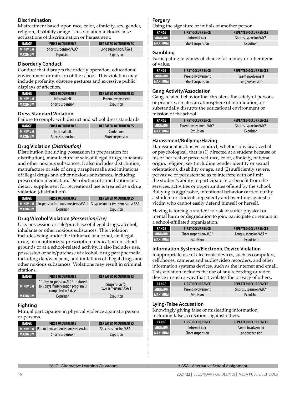#### **Discrimination**

Mistreatment based upon race, color, ethnicity, sex, gender, religion, disability or age. This violation includes false accusations of discrimination or harassment.

| RANGE              | <b>FIRST OCCURRENCE</b> | <b>REPEATED OCCURRENCES</b> |
|--------------------|-------------------------|-----------------------------|
| <b>MINIMUM</b>     | Short suspension/ALC*   | Long suspension/ASA +       |
| <b>  MAXIMUM  </b> | Expulsion               | Expulsion                   |

#### **Disorderly Conduct**

Conduct that disrupts the orderly operation, educational environment or mission of the school. This violation may include profanity, obscene gestures and excessive public displays of affection.

| <b>RANGE</b>   | <b>FIRST OCCURRENCE</b> | <b>REPEATED OCCURRENCES</b> |
|----------------|-------------------------|-----------------------------|
| <b>MINIMUM</b> | Informal talk           | Parent involvement          |
| <b>MAXIMUM</b> | Short suspension        | Expulsion                   |

#### **Dress Standard Violation**

Failure to comply with district and school dress standards.

| <b>RANGE</b>   | <b>FIRST OCCURRENCE</b> | <b>REPEATED OCCURRENCES</b> |
|----------------|-------------------------|-----------------------------|
| <b>MINIMUM</b> | Informal talk           | Conference                  |
| <b>MAXIMUM</b> | Short suspension        | Short suspension            |

#### **Drug Violation** *(Distribution)*

Distribution (including possession in preparation for distribution), manufacture or sale of illegal drugs, inhalants and other noxious substances. It also includes distribution, manufacture or sale of drug paraphernalia and imitations of illegal drugs and other noxious substances, including prescription medication. Distribution of a medication or a dietary supplement for recreational use is treated as a drug violation (distribution).

| <b>RANGE</b>   | <b>FIRST OCCURRENCE</b>                                                       | <b>REPEATED OCCURRENCES</b> |
|----------------|-------------------------------------------------------------------------------|-----------------------------|
|                | MINIMUM Suspension for two semesters/ASA + Suspension for two semesters/ASA + |                             |
| <b>MAXIMUM</b> | Expulsion                                                                     | Expulsion                   |

#### **Drug/Alcohol Violation** *(Possession/Use)*

Use, possession or sale/purchase of illegal drugs, alcohol, inhalants or other noxious substances. This violation includes being under the influence of alcohol, an illegal drug, or unauthorized prescription medication on school grounds or at a school-related activity. It also includes use, possession or sale/purchase of alcohol, drug paraphernalia, including dab/wax pens, and imitations of illegal drugs and other noxious substances. Violations may result in criminal citations.

| <b>RANGE</b>   | <b>FIRST OCCURRENCE</b>                                                                         | <b>REPEATED OCCURRENCES</b>           |
|----------------|-------------------------------------------------------------------------------------------------|---------------------------------------|
| <b>MINIMUM</b> | 10-Day Suspension/ALC* - reduced<br>to 5 days if intervention program is<br>completed in 5 days | Suspension for<br>two semesters/ASA + |
| <b>MAXIMUM</b> | Expulsion                                                                                       | Expulsion                             |

#### **Fighting**

Mutual participation in physical violence against a person or persons.

| RANGE          | <b>FIRST OCCURRENCE</b>                     | <b>REPEATED OCCURRENCES</b> |
|----------------|---------------------------------------------|-----------------------------|
|                | MINIMUM Parent involvement/short suspension | Short suspension/ASA +      |
| <b>MAXIMUM</b> | Short suspension                            | Expulsion                   |

#### **Forgery**

Using the signature or initials of another person.

| <b>RANGE</b>   | <b>FIRST OCCURRENCE</b> | <b>REPEATED OCCURRENCES</b> |
|----------------|-------------------------|-----------------------------|
| <b>MINIMUM</b> | Informal talk           | Short suspension/ALC*       |
| <b>MAXIMUM</b> | Short suspension        | Expulsion                   |

#### **Gambling**

Participating in games of chance for money or other items of value.

| <b>RANGE</b>   | <b>FIRST OCCURRENCE</b> | <b>REPEATED OCCURRENCES</b> |
|----------------|-------------------------|-----------------------------|
| <b>MINIMUM</b> | Parent involvement      | Parent involvement          |
| <b>MAXIMUM</b> | Short suspension        | Long suspension             |

#### **Gang Activity/Association**

Gang-related behavior that threatens the safety of persons or property, creates an atmosphere of intimidation, or substantially disrupts the educational environment or mission of the school.

| RANGE          | <b>FIRST OCCURRENCE</b> | <b>REPEATED OCCURRENCES</b> |
|----------------|-------------------------|-----------------------------|
| <b>MINIMUM</b> | Parent involvement/ALC* | Short suspension/ALC*       |
| MAXIMUM        | Expulsion               | Expulsion                   |

#### **Harassment/Bullying/Hazing**

Harassment is abusive conduct, whether physical, verbal or psychological, that is (1) directed at a student because of his or her real or perceived race, color, ethnicity, national origin, religion, sex (including gender identity or sexual orientation), disability or age, and (2) sufficiently severe, pervasive or persistent so as to interfere with or limit the student's ability to participate in or benefit from the services, activities or opportunities offered by the school. Bullying is aggressive, intentional behavior carried out by a student or students repeatedly and over time against a victim who cannot easily defend himself or herself.

Hazing is forcing a student to risk or suffer physical or mental harm or degradation to join, participate or remain in a school-affiliated organization.

| <b>RANGE</b>   | <b>FIRST OCCURRENCE</b> | <b>REPEATED OCCURRENCES</b> |
|----------------|-------------------------|-----------------------------|
| <b>MINIMUM</b> | Short suspension/ALC*   | Long suspension/ASA +       |
| <b>MAXIMUM</b> | Expulsion               | Expulsion                   |

#### **Information Systems/Electronic Device Violation**

Inappropriate use of electronic devices, such as computers, cellphones, cameras and audio/video recorders, and other information systems devices, such as the internet and email. This violation includes the use of any recording or video device in such a way that it violates the privacy of others.

| RANGE          | <b>FIRST OCCURRENCE</b> | <b>REPEATED OCCURRENCES</b> |
|----------------|-------------------------|-----------------------------|
| <b>MINIMUM</b> | Parent involvement      | Short suspension/ALC*       |
| <b>MAXIMUM</b> | Expulsion               | Expulsion                   |

#### **Lying/False Accusation**

Knowingly giving false or misleading information, including false accusations against others.

| <b>RANGE</b>   | <b>FIRST OCCURRENCE</b> | <b>REPEATED OCCURRENCES</b> |
|----------------|-------------------------|-----------------------------|
| <b>MINIMUM</b> | Informal talk           | Parent involvement          |
| <b>MAXIMUM</b> | Short suspension        | Long suspension             |

\*ALC - Alternative Learning Classroom † ASA - Alternative School Assignment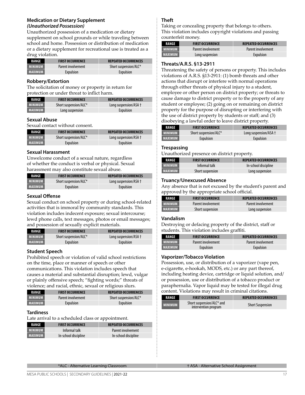#### **Medication or Dietary Supplement**  *(Unauthorized Possession)*

Unauthorized possession of a medication or dietary supplement on school grounds or while traveling between school and home. Possession or distribution of medication or a dietary supplement for recreational use is treated as a drug violation.

| RANGE          | <b>FIRST OCCURRENCE</b> | <b>REPEATED OCCURRENCES</b> |
|----------------|-------------------------|-----------------------------|
| <b>MINIMUM</b> | Parent involvement      | Short suspension/ALC*       |
| <b>MAXIMUM</b> | Expulsion               | Expulsion                   |

#### **Robbery/Extortion**

The solicitation of money or property in return for protection or under threat to inflict harm.

| <b>RANGE</b>   | <b>FIRST OCCURRENCE</b> | <b>REPEATED OCCURRENCES</b> |
|----------------|-------------------------|-----------------------------|
| <b>MINIMUM</b> | Short suspension/ALC*   | Long suspension/ASA +       |
| <b>MAXIMUM</b> | Long suspension         | Expulsion                   |

#### **Sexual Abuse**

Sexual contact without consent.

| RANGE          | <b>FIRST OCCURRENCE</b> | <b>REPEATED OCCURRENCES</b> |
|----------------|-------------------------|-----------------------------|
| <b>MINIMUM</b> | Short suspension/ALC*   | Long suspension/ASA +       |
| <b>MAXIMUM</b> | Expulsion               | Expulsion                   |

#### **Sexual Harassment**

Unwelcome conduct of a sexual nature, regardless of whether the conduct is verbal or physical. Sexual harassment may also constitute sexual abuse.

| <b>RANGE</b>   | <b>FIRST OCCURRENCE</b> | <b>REPEATED OCCURRENCES</b> |
|----------------|-------------------------|-----------------------------|
| <b>MINIMUM</b> | Short suspension/ALC*   | Long suspension/ASA +       |
| <b>MAXIMUM</b> | Expulsion               | Expulsion                   |

#### **Sexual Offense**

Sexual conduct on school property or during school-related activities that is immoral by community standards. This violation includes indecent exposure; sexual intercourse; lewd phone calls, text messages, photos or email messages; and possession of sexually explicit materials.

| RANGE              | <b>FIRST OCCURRENCE</b> | <b>REPEATED OCCURRENCES</b> |
|--------------------|-------------------------|-----------------------------|
| MINIMUM            | Short suspension/ALC*   | Long suspension/ASA +       |
| <b>  MAXIMUM  </b> | Expulsion               | Expulsion                   |

#### **Student Speech**

Prohibited speech or violation of valid school restrictions on the time, place or manner of speech or other communications. This violation includes speech that causes a material and substantial disruption; lewd, vulgar or plainly offensive speech; "fighting words;" threats of violence; and racial, ethnic, sexual or religious slurs.

| <b>RANGE</b>   | <b>FIRST OCCURRENCE</b> | <b>REPEATED OCCURRENCES</b> |
|----------------|-------------------------|-----------------------------|
| <b>MINIMUM</b> | Parent involvement      | Short suspension/ALC*       |
| <b>MAXIMUM</b> | Expulsion               | Expulsion                   |

#### **Tardiness**

Late arrival to a scheduled class or appointment.

| RANGE          | <b>FIRST OCCURRENCE</b> | <b>REPEATED OCCURRENCES</b> |
|----------------|-------------------------|-----------------------------|
| I MINIMUM      | Informal talk           | Parent involvement          |
| <b>MAXIMUM</b> | In-school discipline    | In-school discipline        |

#### **Theft**

Taking or concealing property that belongs to others. This violation includes copyright violations and passing counterfeit money.

| RANGE          | <b>FIRST OCCURRENCE</b> | <b>REPEATED OCCURRENCES</b> |
|----------------|-------------------------|-----------------------------|
| I MINIMUM      | Parent involvement      | Parent involvement          |
| <b>MAXIMUM</b> | Long suspension         | Expulsion                   |

#### **Threats/A.R.S. §13-2911**

Threatening the safety of persons or property. This includes violations of A.R.S. §13-2911: (1) bomb threats and other actions that disrupt or interfere with normal operations through either threats of physical injury to a student, employee or other person on district property; or threats to cause damage to district property or to the property of any student or employee; (2) going on or remaining on district property for the purpose of disrupting or interfering with the use of district property by students or staff; and (3) disobeying a lawful order to leave district property.

| RANGE          | <b>FIRST OCCURRENCE</b> | <b>REPEATED OCCURRENCES</b> |
|----------------|-------------------------|-----------------------------|
| <b>MINIMUM</b> | Short suspension/ALC*   | Long suspension/ASA +       |
| <b>MAXIMUM</b> | Expulsion               | Expulsion                   |

#### **Trespassing**

Unauthorized presence on district property.

| RANGE          | <b>FIRST OCCURRENCE</b> | <b>REPEATED OCCURRENCES</b> |
|----------------|-------------------------|-----------------------------|
| <b>MINIMUM</b> | Informal talk           | In-school discipline        |
| MAXIMUM        | Short suspension        | Long suspension             |

#### **Truancy/Unexcused Absence**

Any absence that is not excused by the student's parent and approved by the appropriate school official.

| RANGE          | <b>FIRST OCCURRENCE</b> | <b>REPEATED OCCURRENCES</b> |
|----------------|-------------------------|-----------------------------|
| <b>MINIMUM</b> | Parent involvement      | Parent involvement          |
| <b>MAXIMUM</b> | Short suspension        | Long suspension             |

#### **Vandalism**

Destroying or defacing property of the district, staff or students. This violation includes graffiti.

| RANGE          | <b>FIRST OCCURRENCE</b> | <b>REPEATED OCCURRENCES</b> |
|----------------|-------------------------|-----------------------------|
| <b>MINIMUM</b> | Parent involvement      | Parent involvement          |
| MAXIMUM I      | <b>Expulsion</b>        | Expulsion                   |

#### **Vaporizer/Tobacco Violation**

Possession, use, or distribution of a vaporizer (vape pen, e-cigarette, e-hookah, MODS, etc.) or any part thereof, including heating device, cartridge or liquid solution, and/ or possession, use or distribution of a tobacco product or paraphernalia. Vapor liquid may be tested for illegal drug content. Violations may result in criminal citations.

| RANGE   | <b>FIRST OCCURRENCE</b>                           | <b>REPEATED OCCURRENCES</b> |
|---------|---------------------------------------------------|-----------------------------|
| MINIMUM | Short suspension/ALC* and<br>intervention program | <b>Short Suspension</b>     |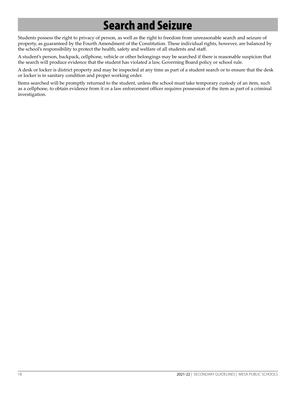# Search and Seizure

Students possess the right to privacy of person, as well as the right to freedom from unreasonable search and seizure of property, as guaranteed by the Fourth Amendment of the Constitution. These individual rights, however, are balanced by the school's responsibility to protect the health, safety and welfare of all students and staff.

A student's person, backpack, cellphone, vehicle or other belongings may be searched if there is reasonable suspicion that the search will produce evidence that the student has violated a law, Governing Board policy or school rule.

A desk or locker is district property and may be inspected at any time as part of a student search or to ensure that the desk or locker is in sanitary condition and proper working order.

Items searched will be promptly returned to the student, unless the school must take temporary custody of an item, such as a cellphone, to obtain evidence from it or a law enforcement officer requires possession of the item as part of a criminal investigation.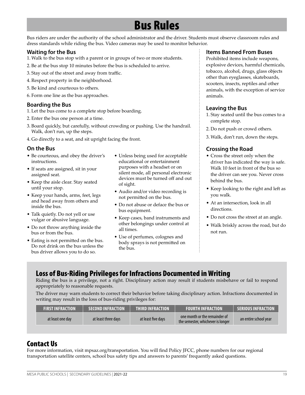## Bus Rules

Bus riders are under the authority of the school administrator and the driver. Students must observe classroom rules and dress standards while riding the bus. Video cameras may be used to monitor behavior.

#### **Waiting for the Bus**

- 1. Walk to the bus stop with a parent or in groups of two or more students.
- 2. Be at the bus stop 10 minutes before the bus is scheduled to arrive.
- 3. Stay out of the street and away from traffic.
- 4. Respect property in the neighborhood.
- 5. Be kind and courteous to others.
- 6. Form one line as the bus approaches.

#### **Boarding the Bus**

- 1. Let the bus come to a complete stop before boarding.
- 2. Enter the bus one person at a time.
- 3. Board quickly, but carefully, without crowding or pushing. Use the handrail. Walk, don't run, up the steps.
- 4. Go directly to a seat, and sit upright facing the front.

#### **On the Bus**

- Be courteous, and obey the driver's instructions.
- If seats are assigned, sit in your assigned seat.
- Keep the aisle clear. Stay seated until your stop.
- Keep your hands, arms, feet, legs and head away from others and inside the bus.
- Talk quietly. Do not yell or use vulgar or abusive language.
- Do not throw anything inside the bus or from the bus.
- Eating is not permitted on the bus. Do not drink on the bus unless the bus driver allows you to do so.
- Unless being used for acceptable educational or entertainment purposes with a headset or on silent mode, all personal electronic devices must be turned off and out of sight.
- Audio and/or video recording is not permitted on the bus.
- Do not abuse or deface the bus or bus equipment.
- Keep cases, band instruments and other belongings under control at all times.
- Use of perfumes, colognes and body sprays is not permitted on the bus.

#### **Items Banned From Buses**

Prohibited items include weapons, explosive devices, harmful chemicals, tobacco, alcohol, drugs, glass objects other than eyeglasses, skateboards, scooters, insects, reptiles and other animals, with the exception of service animals.

#### **Leaving the Bus**

- 1. Stay seated until the bus comes to a complete stop.
- 2. Do not push or crowd others.
- 3. Walk, don't run, down the steps.

#### **Crossing the Road**

- Cross the street only when the driver has indicated the way is safe. Walk 10 feet in front of the bus so the driver can see you. Never cross behind the bus.
- Keep looking to the right and left as you walk.
- At an intersection, look in all directions.
- Do not cross the street at an angle.
- Walk briskly across the road, but do not run.

### Loss of Bus-Riding Privileges for Infractions Documented in Writing

Riding the bus is a privilege, not a right. Disciplinary action may result if students misbehave or fail to respond appropriately to reasonable requests.

The driver may warn students to correct their behavior before taking disciplinary action. Infractions documented in writing may result in the loss of bus-riding privileges for:

| <b>FIRST INFRACTION</b> | <b>SECOND INFRACTION</b> | <b>THIRD INFRACTION</b> | <b>FOURTH INFRACTION</b>                                                         | SERIOUS INFRACTION    |
|-------------------------|--------------------------|-------------------------|----------------------------------------------------------------------------------|-----------------------|
| at least one day        | at least three days      | at least five days      | $\sim$ one month or the remainder of $\sim$<br>the semester, whichever is longer | an entire school year |

### Contact Us

For more information, visit mpsaz.org/transportation. You will find Policy JFCC, phone numbers for our regional transportation satellite centers, school bus safety tips and answers to parents' frequently asked questions.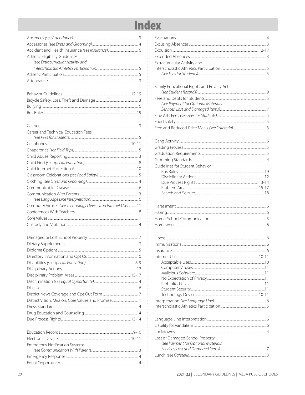# **Index**

**++++++++++++++++++++++++** 

**.** 

. . . . . . . . . . . . . . . . . . .

..............................

 $\ddot{\cdot}$ 

...4

| Athletic Eligibility Guidelines                             |
|-------------------------------------------------------------|
| (see Extracurricular Activity and                           |
|                                                             |
|                                                             |
|                                                             |
|                                                             |
|                                                             |
|                                                             |
|                                                             |
|                                                             |
|                                                             |
| Career and Technical Education Fees                         |
|                                                             |
|                                                             |
|                                                             |
|                                                             |
|                                                             |
|                                                             |
|                                                             |
|                                                             |
|                                                             |
|                                                             |
|                                                             |
|                                                             |
| Computer Viruses (see Technology Device and Internet Use)11 |
|                                                             |
|                                                             |
|                                                             |
|                                                             |
|                                                             |
|                                                             |
|                                                             |
|                                                             |
|                                                             |
|                                                             |
|                                                             |
|                                                             |
|                                                             |
| District Vision, Mission, Core Values and Promise 1         |
|                                                             |
|                                                             |
|                                                             |
|                                                             |
|                                                             |
|                                                             |
|                                                             |
|                                                             |
| <b>Emergency Notification Systems</b>                       |

| Extracurricular Activity and              |         |
|-------------------------------------------|---------|
|                                           |         |
|                                           |         |
|                                           |         |
| Family Educational Rights and Privacy Act |         |
|                                           |         |
| (see Payment for Optional Materials,      |         |
|                                           |         |
|                                           |         |
|                                           |         |
|                                           |         |
|                                           |         |
|                                           |         |
|                                           |         |
|                                           |         |
|                                           |         |
|                                           |         |
| Guidelines for Student Behavior           |         |
|                                           |         |
|                                           |         |
|                                           |         |
|                                           |         |
|                                           |         |
|                                           |         |
|                                           |         |
|                                           |         |
|                                           |         |
|                                           |         |
| Internet Use                              | $10-11$ |
|                                           |         |
|                                           |         |
|                                           |         |
|                                           |         |
|                                           |         |
|                                           |         |
|                                           |         |
|                                           |         |
|                                           |         |
|                                           |         |
|                                           |         |
|                                           |         |
| Lost or Damaged School Property           |         |
| (see Payment for Optional Materials,      |         |
|                                           |         |
|                                           |         |

Equal Opportunity..............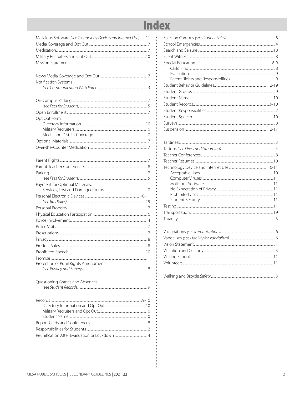# **Index**

| Malicious Software (see Technology Device and Internet Use)11 |
|---------------------------------------------------------------|
|                                                               |
|                                                               |
|                                                               |
|                                                               |
|                                                               |
| Notification Systems                                          |
|                                                               |
|                                                               |
|                                                               |
|                                                               |
| Opt Out Form                                                  |
|                                                               |
|                                                               |
|                                                               |
|                                                               |
|                                                               |
|                                                               |
|                                                               |
|                                                               |
|                                                               |
| Payment for Optional Materials,                               |
|                                                               |
|                                                               |
|                                                               |
|                                                               |
|                                                               |
|                                                               |
|                                                               |
|                                                               |
|                                                               |
|                                                               |
|                                                               |
|                                                               |
| Protection of Pupil Rights Amendment                          |
|                                                               |
| Questioning Grades and Absences                               |
|                                                               |
|                                                               |
|                                                               |
|                                                               |
|                                                               |
|                                                               |
|                                                               |
|                                                               |
|                                                               |
|                                                               |